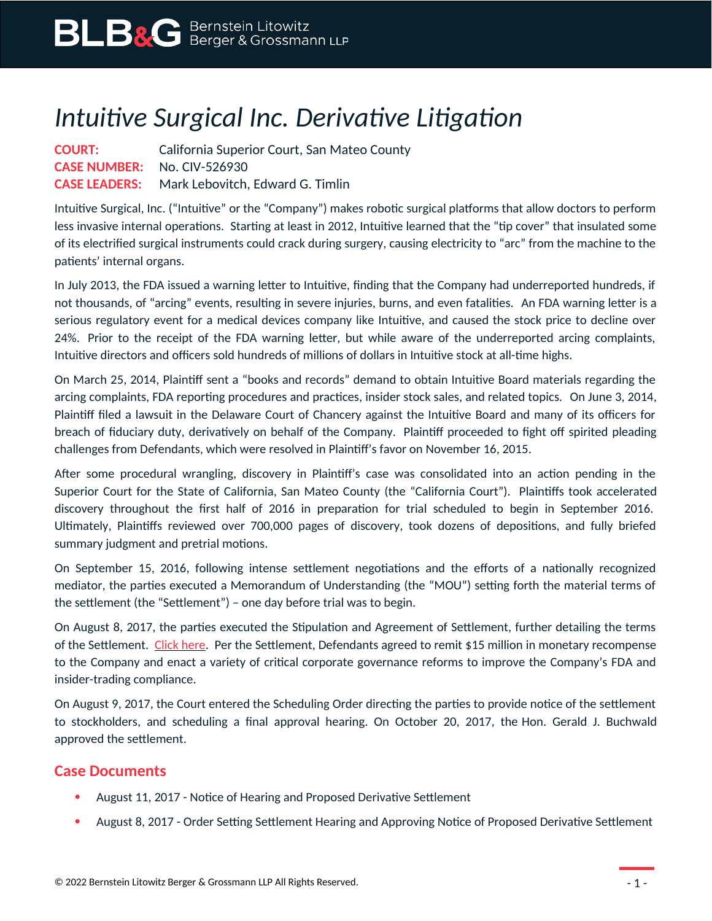## *Intuitive Surgical Inc. Derivative Litigation*

**COURT:** California Superior Court, San Mateo County **CASE NUMBER:** No. CIV-526930 **CASE LEADERS:** Mark Lebovitch, Edward G. Timlin

Intuitive Surgical, Inc. ("Intuitive" or the "Company") makes robotic surgical platforms that allow doctors to perform less invasive internal operations. Starting at least in 2012, Intuitive learned that the "tip cover" that insulated some of its electrified surgical instruments could crack during surgery, causing electricity to "arc" from the machine to the patients' internal organs.

In July 2013, the FDA issued a warning letter to Intuitive, finding that the Company had underreported hundreds, if not thousands, of "arcing" events, resulting in severe injuries, burns, and even fatalities. An FDA warning letter is a serious regulatory event for a medical devices company like Intuitive, and caused the stock price to decline over 24%. Prior to the receipt of the FDA warning letter, but while aware of the underreported arcing complaints, Intuitive directors and officers sold hundreds of millions of dollars in Intuitive stock at all-time highs.

On March 25, 2014, Plaintiff sent a "books and records" demand to obtain Intuitive Board materials regarding the arcing complaints, FDA reporting procedures and practices, insider stock sales, and related topics. On June 3, 2014, Plaintiff filed a lawsuit in the Delaware Court of Chancery against the Intuitive Board and many of its officers for breach of fiduciary duty, derivatively on behalf of the Company. Plaintiff proceeded to fight off spirited pleading challenges from Defendants, which were resolved in Plaintiff's favor on November 16, 2015.

After some procedural wrangling, discovery in Plaintiff's case was consolidated into an action pending in the Superior Court for the State of California, San Mateo County (the "California Court"). Plaintiffs took accelerated discovery throughout the first half of 2016 in preparation for trial scheduled to begin in September 2016. Ultimately, Plaintiffs reviewed over 700,000 pages of discovery, took dozens of depositions, and fully briefed summary judgment and pretrial motions.

On September 15, 2016, following intense settlement negotiations and the efforts of a nationally recognized mediator, the parties executed a Memorandum of Understanding (the "MOU") setting forth the material terms of the settlement (the "Settlement") – one day before trial was to begin.

On August 8, 2017, the parties executed the Stipulation and Agreement of Settlement, further detailing the terms of the Settlement. [Click here.](https://www.blbglaw.com/cases/00313/_res/id=Attachments/index=2/Final_Settlement_Agreement.pdf) Per the Settlement, Defendants agreed to remit \$15 million in monetary recompense to the Company and enact a variety of critical corporate governance reforms to improve the Company's FDA and insider-trading compliance.

On August 9, 2017, the Court entered the Scheduling Order directing the parties to provide notice of the settlement to stockholders, and scheduling a final approval hearing. On October 20, 2017, the Hon. Gerald J. Buchwald approved the settlement.

## **Case Documents**

- August 11, 2017 Notice of Hearing and Proposed Derivative Settlement
- August 8, 2017 Order Setting Settlement Hearing and Approving Notice of Proposed Derivative Settlement